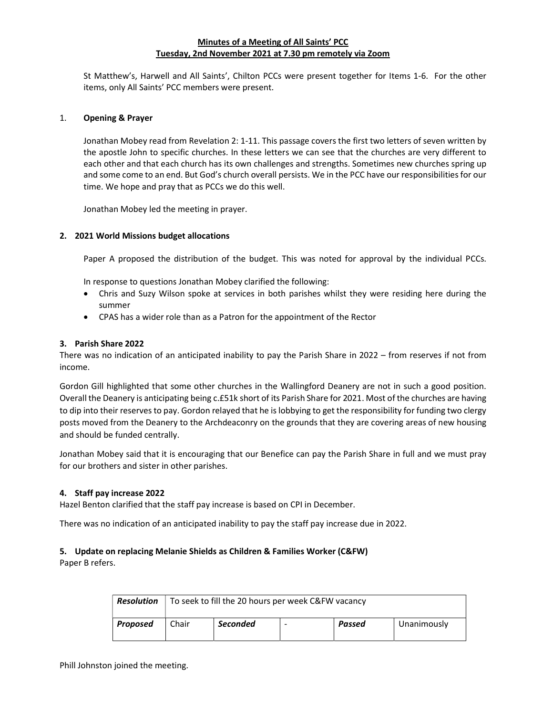# Minutes of a Meeting of All Saints' PCC Tuesday, 2nd November 2021 at 7.30 pm remotely via Zoom

St Matthew's, Harwell and All Saints', Chilton PCCs were present together for Items 1-6. For the other items, only All Saints' PCC members were present.

### 1. Opening & Prayer

Jonathan Mobey read from Revelation 2: 1-11. This passage covers the first two letters of seven written by the apostle John to specific churches. In these letters we can see that the churches are very different to each other and that each church has its own challenges and strengths. Sometimes new churches spring up and some come to an end. But God's church overall persists. We in the PCC have our responsibilities for our time. We hope and pray that as PCCs we do this well.

Jonathan Mobey led the meeting in prayer.

# 2. 2021 World Missions budget allocations

Paper A proposed the distribution of the budget. This was noted for approval by the individual PCCs.

In response to questions Jonathan Mobey clarified the following:

- Chris and Suzy Wilson spoke at services in both parishes whilst they were residing here during the summer
- CPAS has a wider role than as a Patron for the appointment of the Rector

### 3. Parish Share 2022

There was no indication of an anticipated inability to pay the Parish Share in 2022 – from reserves if not from income.

Gordon Gill highlighted that some other churches in the Wallingford Deanery are not in such a good position. Overall the Deanery is anticipating being c.£51k short of its Parish Share for 2021. Most of the churches are having to dip into their reserves to pay. Gordon relayed that he is lobbying to get the responsibility for funding two clergy posts moved from the Deanery to the Archdeaconry on the grounds that they are covering areas of new housing and should be funded centrally.

Jonathan Mobey said that it is encouraging that our Benefice can pay the Parish Share in full and we must pray for our brothers and sister in other parishes.

### 4. Staff pay increase 2022

Hazel Benton clarified that the staff pay increase is based on CPI in December.

There was no indication of an anticipated inability to pay the staff pay increase due in 2022.

# 5. Update on replacing Melanie Shields as Children & Families Worker (C&FW)

Paper B refers.

| <b>Resolution</b> | To seek to fill the 20 hours per week C&FW vacancy |                 |                |        |             |
|-------------------|----------------------------------------------------|-----------------|----------------|--------|-------------|
| Proposed          | Chair                                              | <b>Seconded</b> | $\overline{a}$ | Passed | Unanimously |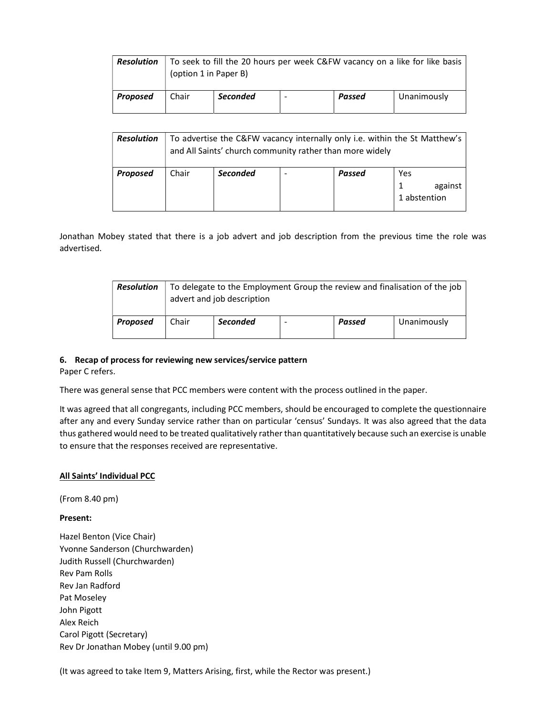| <b>Resolution</b> | (option 1 in Paper B) |                 |                          |        | To seek to fill the 20 hours per week C&FW vacancy on a like for like basis |
|-------------------|-----------------------|-----------------|--------------------------|--------|-----------------------------------------------------------------------------|
| Proposed          | Chair                 | <b>Seconded</b> | $\overline{\phantom{0}}$ | Passed | Unanimously                                                                 |

| <b>Resolution</b> | To advertise the C&FW vacancy internally only i.e. within the St Matthew's<br>and All Saints' church community rather than more widely |                 |                          |        |                                |
|-------------------|----------------------------------------------------------------------------------------------------------------------------------------|-----------------|--------------------------|--------|--------------------------------|
| Proposed          | Chair                                                                                                                                  | <b>Seconded</b> | $\overline{\phantom{0}}$ | Passed | Yes<br>against<br>1 abstention |

Jonathan Mobey stated that there is a job advert and job description from the previous time the role was advertised.

| <b>Resolution</b> | To delegate to the Employment Group the review and finalisation of the job<br>advert and job description |                 |  |        |             |
|-------------------|----------------------------------------------------------------------------------------------------------|-----------------|--|--------|-------------|
| Proposed          | Chair                                                                                                    | <b>Seconded</b> |  | Passed | Unanimously |

### 6. Recap of process for reviewing new services/service pattern

Paper C refers.

There was general sense that PCC members were content with the process outlined in the paper.

It was agreed that all congregants, including PCC members, should be encouraged to complete the questionnaire after any and every Sunday service rather than on particular 'census' Sundays. It was also agreed that the data thus gathered would need to be treated qualitatively rather than quantitatively because such an exercise is unable to ensure that the responses received are representative.

### All Saints' Individual PCC

(From 8.40 pm)

#### Present:

Hazel Benton (Vice Chair) Yvonne Sanderson (Churchwarden) Judith Russell (Churchwarden) Rev Pam Rolls Rev Jan Radford Pat Moseley John Pigott Alex Reich Carol Pigott (Secretary) Rev Dr Jonathan Mobey (until 9.00 pm)

(It was agreed to take Item 9, Matters Arising, first, while the Rector was present.)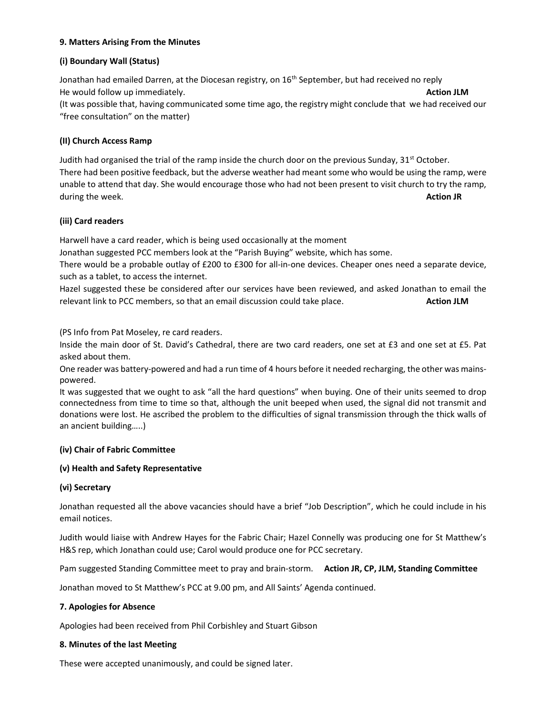# 9. Matters Arising From the Minutes

### (i) Boundary Wall (Status)

Jonathan had emailed Darren, at the Diocesan registry, on 16<sup>th</sup> September, but had received no reply He would follow up immediately. Action JLM (It was possible that, having communicated some time ago, the registry might conclude that we had received our "free consultation" on the matter)

# (II) Church Access Ramp

Judith had organised the trial of the ramp inside the church door on the previous Sunday,  $31<sup>st</sup>$  October. There had been positive feedback, but the adverse weather had meant some who would be using the ramp, were unable to attend that day. She would encourage those who had not been present to visit church to try the ramp, during the week. **Action JR** and the week. **Action JR** and the set of the set of the set of the set of the set of the set of the set of the set of the set of the set of the set of the set of the set of the set of the set o

# (iii) Card readers

Harwell have a card reader, which is being used occasionally at the moment

Jonathan suggested PCC members look at the "Parish Buying" website, which has some.

There would be a probable outlay of £200 to £300 for all-in-one devices. Cheaper ones need a separate device, such as a tablet, to access the internet.

Hazel suggested these be considered after our services have been reviewed, and asked Jonathan to email the relevant link to PCC members, so that an email discussion could take place. Action JLM

(PS Info from Pat Moseley, re card readers.

Inside the main door of St. David's Cathedral, there are two card readers, one set at £3 and one set at £5. Pat asked about them.

One reader was battery-powered and had a run time of 4 hours before it needed recharging, the other was mainspowered.

It was suggested that we ought to ask "all the hard questions" when buying. One of their units seemed to drop connectedness from time to time so that, although the unit beeped when used, the signal did not transmit and donations were lost. He ascribed the problem to the difficulties of signal transmission through the thick walls of an ancient building…..)

### (iv) Chair of Fabric Committee

### (v) Health and Safety Representative

# (vi) Secretary

Jonathan requested all the above vacancies should have a brief "Job Description", which he could include in his email notices.

Judith would liaise with Andrew Hayes for the Fabric Chair; Hazel Connelly was producing one for St Matthew's H&S rep, which Jonathan could use; Carol would produce one for PCC secretary.

Pam suggested Standing Committee meet to pray and brain-storm. Action JR, CP, JLM, Standing Committee

Jonathan moved to St Matthew's PCC at 9.00 pm, and All Saints' Agenda continued.

### 7. Apologies for Absence

Apologies had been received from Phil Corbishley and Stuart Gibson

### 8. Minutes of the last Meeting

These were accepted unanimously, and could be signed later.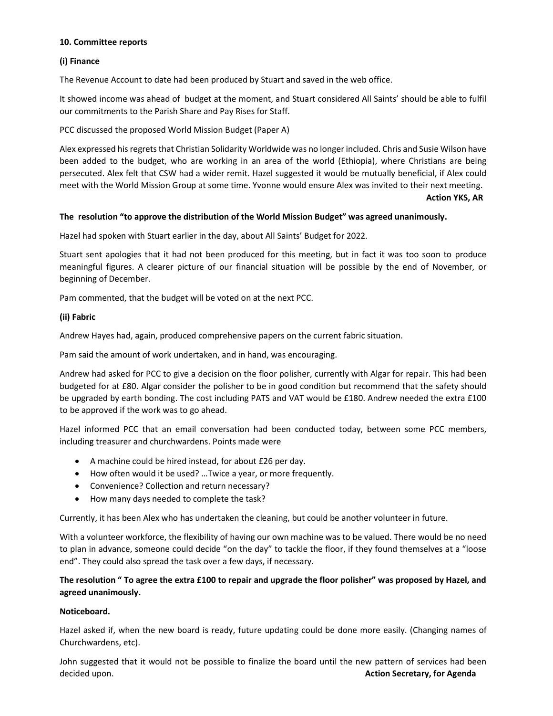### 10. Committee reports

# (i) Finance

The Revenue Account to date had been produced by Stuart and saved in the web office.

It showed income was ahead of budget at the moment, and Stuart considered All Saints' should be able to fulfil our commitments to the Parish Share and Pay Rises for Staff.

PCC discussed the proposed World Mission Budget (Paper A)

Alex expressed his regrets that Christian Solidarity Worldwide was no longer included. Chris and Susie Wilson have been added to the budget, who are working in an area of the world (Ethiopia), where Christians are being persecuted. Alex felt that CSW had a wider remit. Hazel suggested it would be mutually beneficial, if Alex could meet with the World Mission Group at some time. Yvonne would ensure Alex was invited to their next meeting.

Action YKS, AR

### The resolution "to approve the distribution of the World Mission Budget" was agreed unanimously.

Hazel had spoken with Stuart earlier in the day, about All Saints' Budget for 2022.

Stuart sent apologies that it had not been produced for this meeting, but in fact it was too soon to produce meaningful figures. A clearer picture of our financial situation will be possible by the end of November, or beginning of December.

Pam commented, that the budget will be voted on at the next PCC.

# (ii) Fabric

Andrew Hayes had, again, produced comprehensive papers on the current fabric situation.

Pam said the amount of work undertaken, and in hand, was encouraging.

Andrew had asked for PCC to give a decision on the floor polisher, currently with Algar for repair. This had been budgeted for at £80. Algar consider the polisher to be in good condition but recommend that the safety should be upgraded by earth bonding. The cost including PATS and VAT would be £180. Andrew needed the extra £100 to be approved if the work was to go ahead.

Hazel informed PCC that an email conversation had been conducted today, between some PCC members, including treasurer and churchwardens. Points made were

- A machine could be hired instead, for about £26 per day.
- How often would it be used? …Twice a year, or more frequently.
- Convenience? Collection and return necessary?
- How many days needed to complete the task?

Currently, it has been Alex who has undertaken the cleaning, but could be another volunteer in future.

With a volunteer workforce, the flexibility of having our own machine was to be valued. There would be no need to plan in advance, someone could decide "on the day" to tackle the floor, if they found themselves at a "loose end". They could also spread the task over a few days, if necessary.

# The resolution " To agree the extra £100 to repair and upgrade the floor polisher" was proposed by Hazel, and agreed unanimously.

### Noticeboard.

Hazel asked if, when the new board is ready, future updating could be done more easily. (Changing names of Churchwardens, etc).

John suggested that it would not be possible to finalize the board until the new pattern of services had been decided upon. **Action Secretary, for Agenda** decided upon.